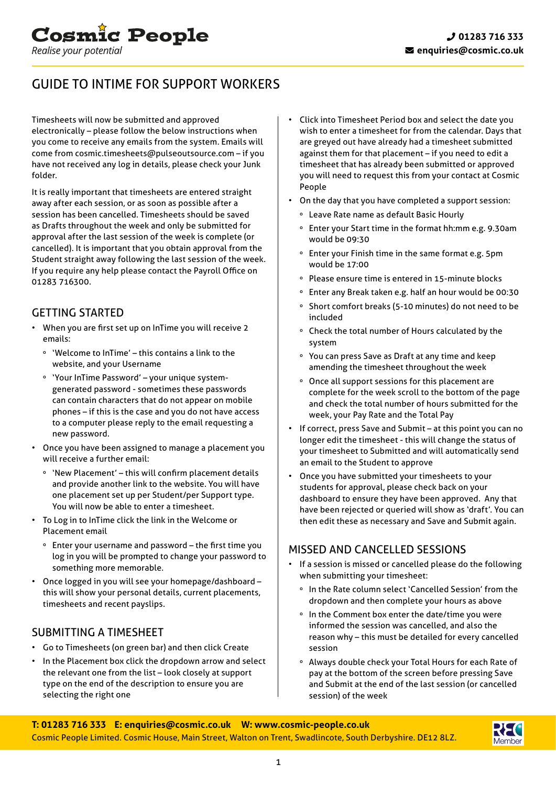

# GUIDE TO INTIME FOR SUPPORT WORKERS

Timesheets will now be submitted and approved electronically – please follow the below instructions when you come to receive any emails from the system. Emails will come fro[m cosmic.timesheets@pulseoutsource.com –](mailto:cosmic.timesheets@pulseoutsource.com) if you have not received any log in details, please check your Junk folder.

It is really important that timesheets are entered straight away after each session, or as soon as possible after a session has been cancelled. Timesheets should be saved as Drafts throughout the week and only be submitted for approval after the last session of the week is complete (or cancelled). It is important that you obtain approval from the Student straight away following the last session of the week. If you require any help please contact the Payroll Office on [01283 716300.](tel:01283716300) 

#### GETTING STARTED

- When you are first set up on InTime you will receive 2 emails:
	- º 'Welcome to InTime' this contains a link to the website, and your Username
	- º 'Your InTime Password' your unique systemgenerated password - sometimes these passwords can contain characters that do not appear on mobile phones – if this is the case and you do not have access to a computer please reply to the email requesting a new password.
- Once you have been assigned to manage a placement you will receive a further email:
	- º 'New Placement' this will confirm placement details and provide another link to the website. You will have one placement set up per Student/per Support type. You will now be able to enter a timesheet.
- To Log in to InTime click the link in the Welcome or Placement email
	- º Enter your username and password the first time you log in you will be prompted to change your password to something more memorable.
- Once logged in you will see your homepage/dashboard this will show your personal details, current placements, timesheets and recent payslips.

#### SUBMITTING A TIMESHEET

- Go to Timesheets (on green bar) and then click Create
- In the Placement box click the dropdown arrow and select the relevant one from the list – look closely at support type on the end of the description to ensure you are selecting the right one
- Click into Timesheet Period box and select the date you wish to enter a timesheet for from the calendar. Days that are greyed out have already had a timesheet submitted against them for that placement – if you need to edit a timesheet that has already been submitted or approved you will need to request this from your contact at Cosmic People
- On the day that you have completed a support session:
	- º Leave Rate name as default Basic Hourly
	- º Enter your Start time in the format hh:mm e.g. 9.30am would be 09:30
	- º Enter your Finish time in the same format e.g. 5pm would be 17:00
	- º Please ensure time is entered in 15-minute blocks
	- º Enter any Break taken e.g. half an hour would be 00:30
	- º Short comfort breaks (5-10 minutes) do not need to be included
	- º Check the total number of Hours calculated by the system
	- º You can press Save as Draft at any time and keep amending the timesheet throughout the week
	- º Once all support sessions for this placement are complete for the week scroll to the bottom of the page and check the total number of hours submitted for the week, your Pay Rate and the Total Pay
- If correct, press Save and Submit at this point you can no longer edit the timesheet - this will change the status of your timesheet to Submitted and will automatically send an email to the Student to approve
- Once you have submitted your timesheets to your students for approval, please check back on your dashboard to ensure they have been approved. Any that have been rejected or queried will show as 'draft'. You can then edit these as necessary and Save and Submit again.

#### MISSED AND CANCELLED SESSIONS

- If a session is missed or cancelled please do the following when submitting your timesheet:
	- º In the Rate column select 'Cancelled Session' from the dropdown and then complete your hours as above
	- º In the Comment box enter the date/time you were informed the session was cancelled, and also the reason why – this must be detailed for every cancelled session
	- º Always double check your Total Hours for each Rate of pay at the bottom of the screen before pressing Save and Submit at the end of the last session (or cancelled session) of the week

**T[: 01283 716 333](tel:01283716333) E[: enquiries@cosmic.co.uk](mailto:enquiries%40cosmic.co.uk?subject=) W[: www.cosmic-people.co.uk](https://www.cosmic-people.co.uk)** Cosmic People Limited. Cosmic House, Main Street, Walton on Trent, Swadlincote, South Derbyshire. DE12 8LZ.